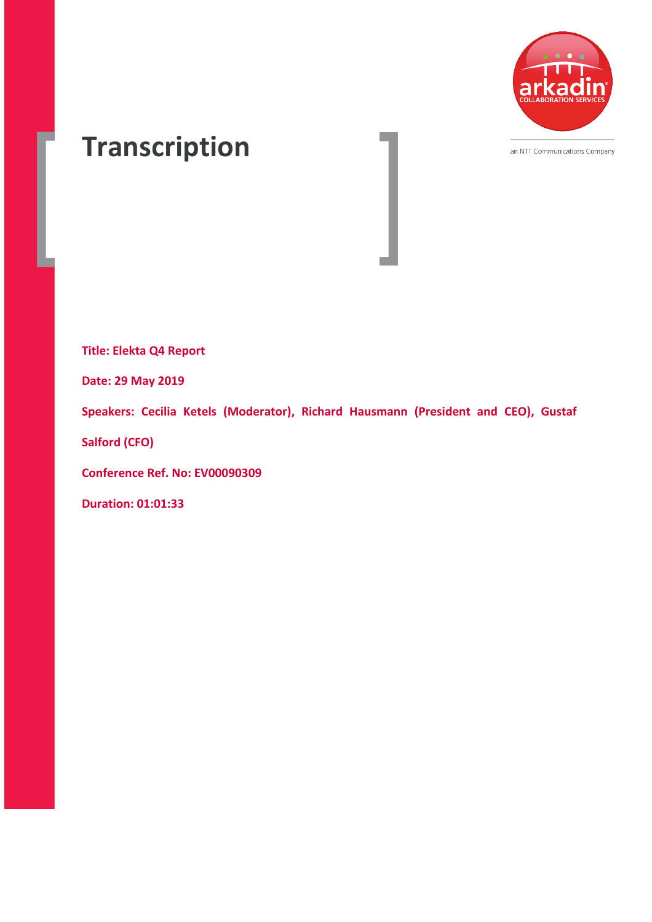

an NTT Communications Company

# **Transcription**

**Title: Elekta Q4 Report**

**Date: 29 May 2019**

**Speakers: Cecilia Ketels (Moderator), Richard Hausmann (President and CEO), Gustaf** 

**Salford (CFO)**

**Conference Ref. No: EV00090309**

**Duration: 01:01:33**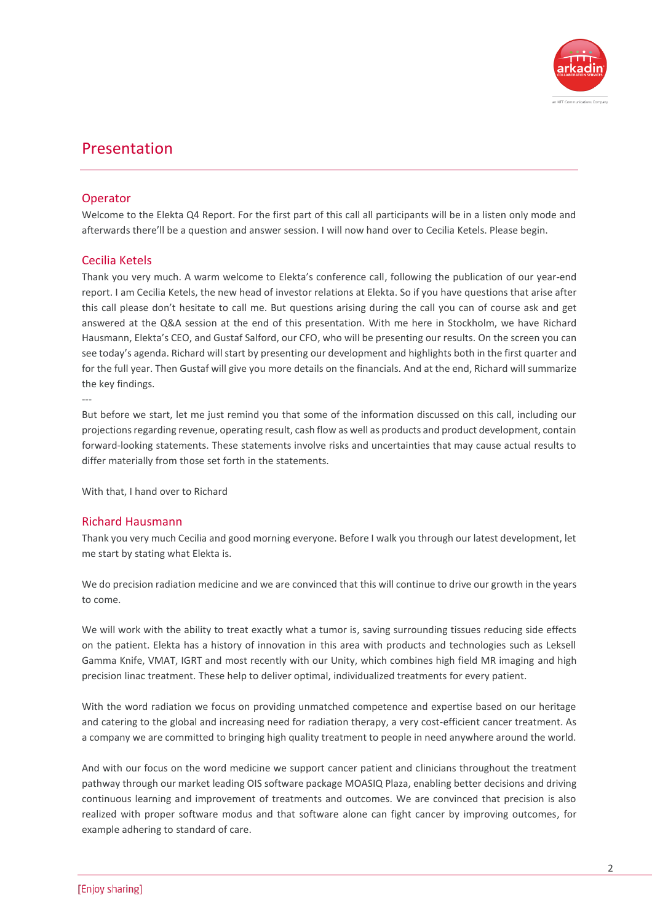

# Presentation

# Operator

Welcome to the Elekta Q4 Report. For the first part of this call all participants will be in a listen only mode and afterwards there'll be a question and answer session. I will now hand over to Cecilia Ketels. Please begin.

# Cecilia Ketels

Thank you very much. A warm welcome to Elekta's conference call, following the publication of our year-end report. I am Cecilia Ketels, the new head of investor relations at Elekta. So if you have questions that arise after this call please don't hesitate to call me. But questions arising during the call you can of course ask and get answered at the Q&A session at the end of this presentation. With me here in Stockholm, we have Richard Hausmann, Elekta's CEO, and Gustaf Salford, our CFO, who will be presenting our results. On the screen you can see today's agenda. Richard will start by presenting our development and highlights both in the first quarter and for the full year. Then Gustaf will give you more details on the financials. And at the end, Richard will summarize the key findings.

---

But before we start, let me just remind you that some of the information discussed on this call, including our projections regarding revenue, operating result, cash flow as well as products and product development, contain forward-looking statements. These statements involve risks and uncertainties that may cause actual results to differ materially from those set forth in the statements.

With that, I hand over to Richard

# Richard Hausmann

Thank you very much Cecilia and good morning everyone. Before I walk you through our latest development, let me start by stating what Elekta is.

We do precision radiation medicine and we are convinced that this will continue to drive our growth in the years to come.

We will work with the ability to treat exactly what a tumor is, saving surrounding tissues reducing side effects on the patient. Elekta has a history of innovation in this area with products and technologies such as Leksell Gamma Knife, VMAT, IGRT and most recently with our Unity, which combines high field MR imaging and high precision linac treatment. These help to deliver optimal, individualized treatments for every patient.

With the word radiation we focus on providing unmatched competence and expertise based on our heritage and catering to the global and increasing need for radiation therapy, a very cost-efficient cancer treatment. As a company we are committed to bringing high quality treatment to people in need anywhere around the world.

And with our focus on the word medicine we support cancer patient and clinicians throughout the treatment pathway through our market leading OIS software package MOASIQ Plaza, enabling better decisions and driving continuous learning and improvement of treatments and outcomes. We are convinced that precision is also realized with proper software modus and that software alone can fight cancer by improving outcomes, for example adhering to standard of care.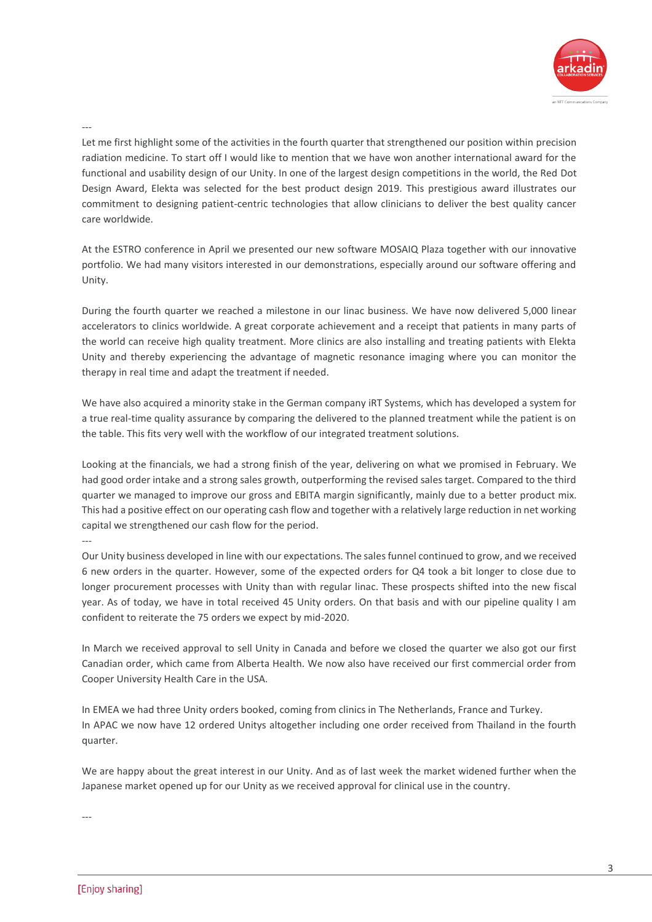

---

Let me first highlight some of the activities in the fourth quarter that strengthened our position within precision radiation medicine. To start off I would like to mention that we have won another international award for the functional and usability design of our Unity. In one of the largest design competitions in the world, the Red Dot Design Award, Elekta was selected for the best product design 2019. This prestigious award illustrates our commitment to designing patient-centric technologies that allow clinicians to deliver the best quality cancer care worldwide.

At the ESTRO conference in April we presented our new software MOSAIQ Plaza together with our innovative portfolio. We had many visitors interested in our demonstrations, especially around our software offering and Unity.

During the fourth quarter we reached a milestone in our linac business. We have now delivered 5,000 linear accelerators to clinics worldwide. A great corporate achievement and a receipt that patients in many parts of the world can receive high quality treatment. More clinics are also installing and treating patients with Elekta Unity and thereby experiencing the advantage of magnetic resonance imaging where you can monitor the therapy in real time and adapt the treatment if needed.

We have also acquired a minority stake in the German company iRT Systems, which has developed a system for a true real-time quality assurance by comparing the delivered to the planned treatment while the patient is on the table. This fits very well with the workflow of our integrated treatment solutions.

Looking at the financials, we had a strong finish of the year, delivering on what we promised in February. We had good order intake and a strong sales growth, outperforming the revised sales target. Compared to the third quarter we managed to improve our gross and EBITA margin significantly, mainly due to a better product mix. This had a positive effect on our operating cash flow and together with a relatively large reduction in net working capital we strengthened our cash flow for the period.

---

Our Unity business developed in line with our expectations. The sales funnel continued to grow, and we received 6 new orders in the quarter. However, some of the expected orders for Q4 took a bit longer to close due to longer procurement processes with Unity than with regular linac. These prospects shifted into the new fiscal year. As of today, we have in total received 45 Unity orders. On that basis and with our pipeline quality I am confident to reiterate the 75 orders we expect by mid-2020.

In March we received approval to sell Unity in Canada and before we closed the quarter we also got our first Canadian order, which came from Alberta Health. We now also have received our first commercial order from Cooper University Health Care in the USA.

In EMEA we had three Unity orders booked, coming from clinics in The Netherlands, France and Turkey. In APAC we now have 12 ordered Unitys altogether including one order received from Thailand in the fourth quarter.

We are happy about the great interest in our Unity. And as of last week the market widened further when the Japanese market opened up for our Unity as we received approval for clinical use in the country.

---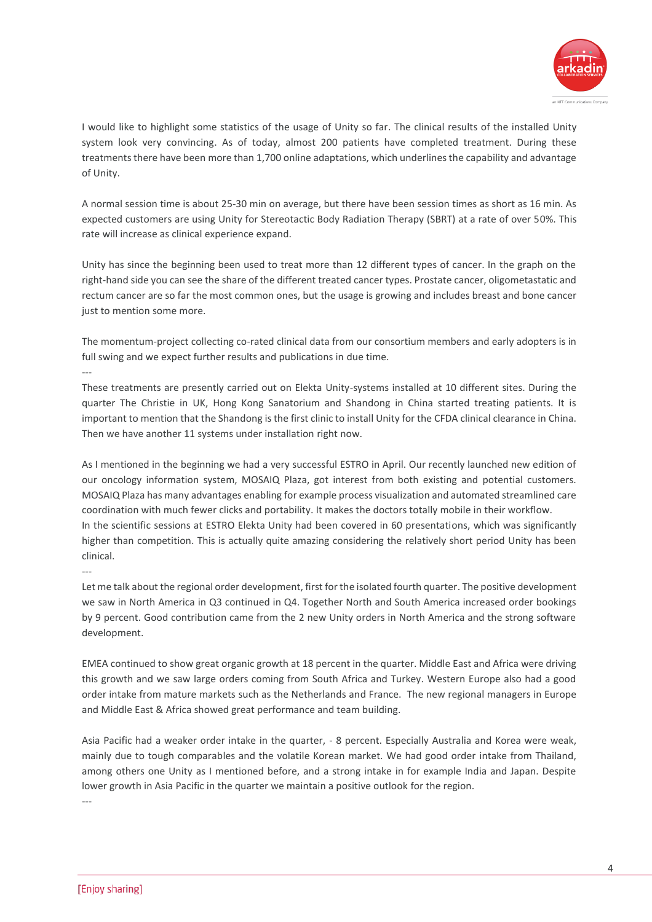

I would like to highlight some statistics of the usage of Unity so far. The clinical results of the installed Unity system look very convincing. As of today, almost 200 patients have completed treatment. During these treatments there have been more than 1,700 online adaptations, which underlines the capability and advantage of Unity.

A normal session time is about 25-30 min on average, but there have been session times as short as 16 min. As expected customers are using Unity for Stereotactic Body Radiation Therapy (SBRT) at a rate of over 50%. This rate will increase as clinical experience expand.

Unity has since the beginning been used to treat more than 12 different types of cancer. In the graph on the right-hand side you can see the share of the different treated cancer types. Prostate cancer, oligometastatic and rectum cancer are so far the most common ones, but the usage is growing and includes breast and bone cancer just to mention some more.

The momentum-project collecting co-rated clinical data from our consortium members and early adopters is in full swing and we expect further results and publications in due time.

These treatments are presently carried out on Elekta Unity-systems installed at 10 different sites. During the quarter The Christie in UK, Hong Kong Sanatorium and Shandong in China started treating patients. It is important to mention that the Shandong is the first clinic to install Unity for the CFDA clinical clearance in China. Then we have another 11 systems under installation right now.

As I mentioned in the beginning we had a very successful ESTRO in April. Our recently launched new edition of our oncology information system, MOSAIQ Plaza, got interest from both existing and potential customers. MOSAIQ Plaza has many advantages enabling for example process visualization and automated streamlined care coordination with much fewer clicks and portability. It makes the doctors totally mobile in their workflow. In the scientific sessions at ESTRO Elekta Unity had been covered in 60 presentations, which was significantly higher than competition. This is actually quite amazing considering the relatively short period Unity has been clinical.

---

---

Let me talk about the regional order development, first for the isolated fourth quarter. The positive development we saw in North America in Q3 continued in Q4. Together North and South America increased order bookings by 9 percent. Good contribution came from the 2 new Unity orders in North America and the strong software development.

EMEA continued to show great organic growth at 18 percent in the quarter. Middle East and Africa were driving this growth and we saw large orders coming from South Africa and Turkey. Western Europe also had a good order intake from mature markets such as the Netherlands and France. The new regional managers in Europe and Middle East & Africa showed great performance and team building.

Asia Pacific had a weaker order intake in the quarter, - 8 percent. Especially Australia and Korea were weak, mainly due to tough comparables and the volatile Korean market. We had good order intake from Thailand, among others one Unity as I mentioned before, and a strong intake in for example India and Japan. Despite lower growth in Asia Pacific in the quarter we maintain a positive outlook for the region.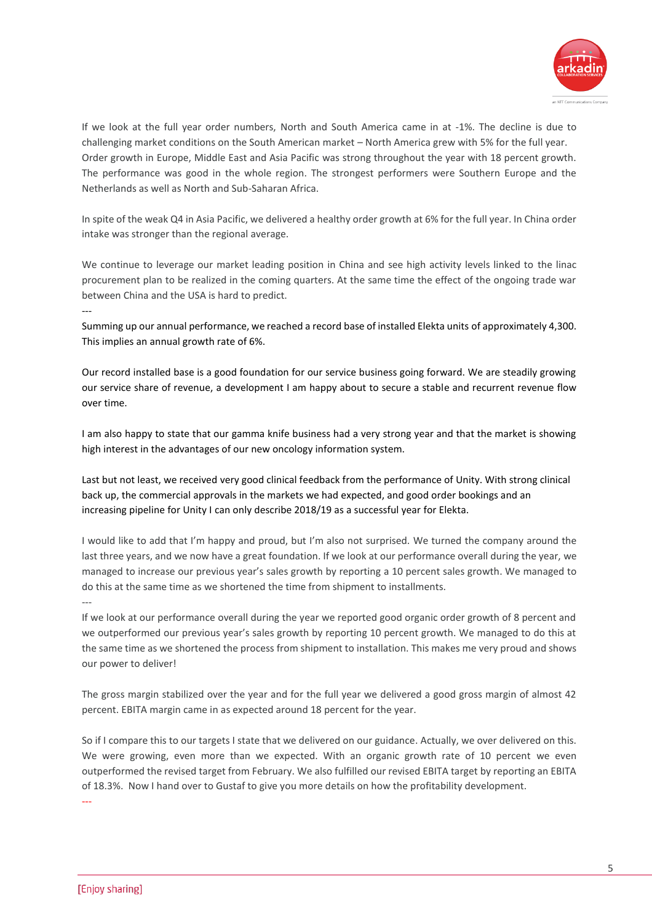

If we look at the full year order numbers, North and South America came in at -1%. The decline is due to challenging market conditions on the South American market – North America grew with 5% for the full year. Order growth in Europe, Middle East and Asia Pacific was strong throughout the year with 18 percent growth. The performance was good in the whole region. The strongest performers were Southern Europe and the Netherlands as well as North and Sub-Saharan Africa.

In spite of the weak Q4 in Asia Pacific, we delivered a healthy order growth at 6% for the full year. In China order intake was stronger than the regional average.

We continue to leverage our market leading position in China and see high activity levels linked to the linac procurement plan to be realized in the coming quarters. At the same time the effect of the ongoing trade war between China and the USA is hard to predict.

Summing up our annual performance, we reached a record base of installed Elekta units of approximately 4,300. This implies an annual growth rate of 6%.

Our record installed base is a good foundation for our service business going forward. We are steadily growing our service share of revenue, a development I am happy about to secure a stable and recurrent revenue flow over time.

I am also happy to state that our gamma knife business had a very strong year and that the market is showing high interest in the advantages of our new oncology information system.

Last but not least, we received very good clinical feedback from the performance of Unity. With strong clinical back up, the commercial approvals in the markets we had expected, and good order bookings and an increasing pipeline for Unity I can only describe 2018/19 as a successful year for Elekta.

I would like to add that I'm happy and proud, but I'm also not surprised. We turned the company around the last three years, and we now have a great foundation. If we look at our performance overall during the year, we managed to increase our previous year's sales growth by reporting a 10 percent sales growth. We managed to do this at the same time as we shortened the time from shipment to installments.

---

---

---

If we look at our performance overall during the year we reported good organic order growth of 8 percent and we outperformed our previous year's sales growth by reporting 10 percent growth. We managed to do this at the same time as we shortened the process from shipment to installation. This makes me very proud and shows our power to deliver!

The gross margin stabilized over the year and for the full year we delivered a good gross margin of almost 42 percent. EBITA margin came in as expected around 18 percent for the year.

So if I compare this to our targets I state that we delivered on our guidance. Actually, we over delivered on this. We were growing, even more than we expected. With an organic growth rate of 10 percent we even outperformed the revised target from February. We also fulfilled our revised EBITA target by reporting an EBITA of 18.3%. Now I hand over to Gustaf to give you more details on how the profitability development.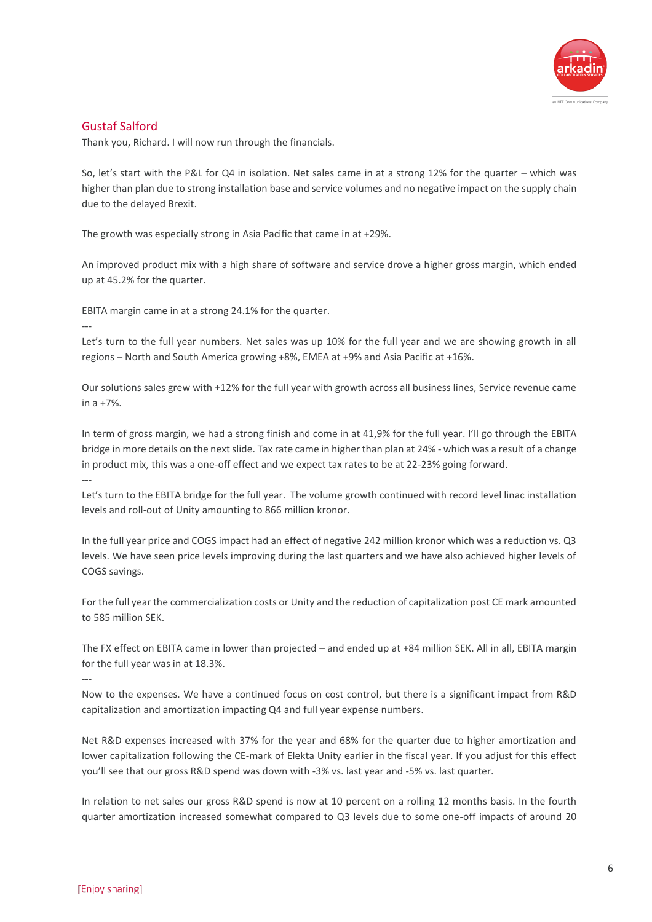

Thank you, Richard. I will now run through the financials.

So, let's start with the P&L for Q4 in isolation. Net sales came in at a strong 12% for the quarter – which was higher than plan due to strong installation base and service volumes and no negative impact on the supply chain due to the delayed Brexit.

The growth was especially strong in Asia Pacific that came in at +29%.

An improved product mix with a high share of software and service drove a higher gross margin, which ended up at 45.2% for the quarter.

EBITA margin came in at a strong 24.1% for the quarter.

Let's turn to the full year numbers. Net sales was up 10% for the full year and we are showing growth in all regions – North and South America growing +8%, EMEA at +9% and Asia Pacific at +16%.

Our solutions sales grew with +12% for the full year with growth across all business lines, Service revenue came in a +7%.

In term of gross margin, we had a strong finish and come in at 41,9% for the full year. I'll go through the EBITA bridge in more details on the next slide. Tax rate came in higher than plan at 24% - which was a result of a change in product mix, this was a one-off effect and we expect tax rates to be at 22-23% going forward. ---

Let's turn to the EBITA bridge for the full year. The volume growth continued with record level linac installation levels and roll-out of Unity amounting to 866 million kronor.

In the full year price and COGS impact had an effect of negative 242 million kronor which was a reduction vs. Q3 levels. We have seen price levels improving during the last quarters and we have also achieved higher levels of COGS savings.

For the full year the commercialization costs or Unity and the reduction of capitalization post CE mark amounted to 585 million SEK.

The FX effect on EBITA came in lower than projected – and ended up at +84 million SEK. All in all, EBITA margin for the full year was in at 18.3%.

---

---

Now to the expenses. We have a continued focus on cost control, but there is a significant impact from R&D capitalization and amortization impacting Q4 and full year expense numbers.

Net R&D expenses increased with 37% for the year and 68% for the quarter due to higher amortization and lower capitalization following the CE-mark of Elekta Unity earlier in the fiscal year. If you adjust for this effect you'll see that our gross R&D spend was down with -3% vs. last year and -5% vs. last quarter.

In relation to net sales our gross R&D spend is now at 10 percent on a rolling 12 months basis. In the fourth quarter amortization increased somewhat compared to Q3 levels due to some one-off impacts of around 20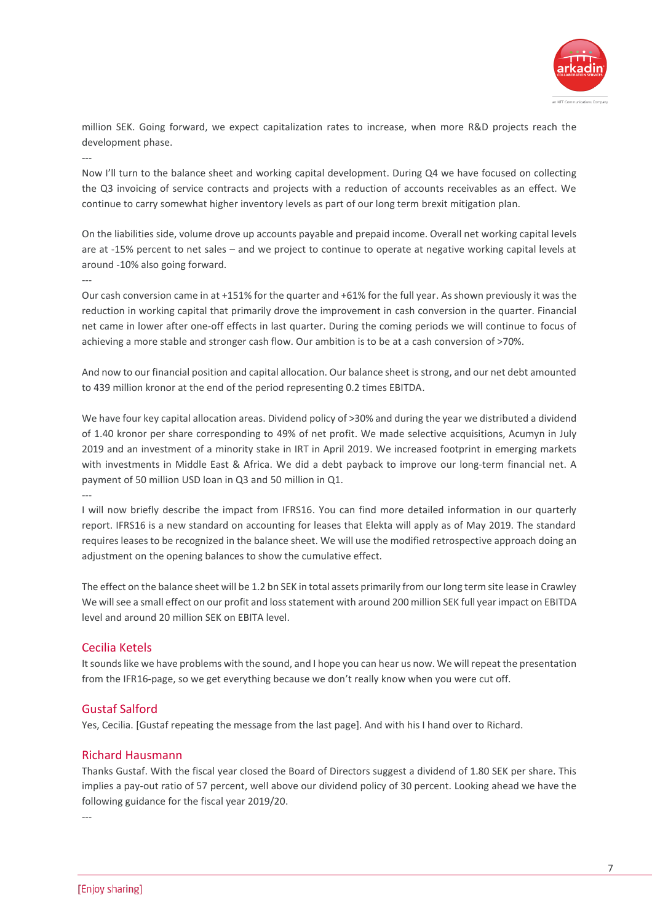

million SEK. Going forward, we expect capitalization rates to increase, when more R&D projects reach the development phase.

---

Now I'll turn to the balance sheet and working capital development. During Q4 we have focused on collecting the Q3 invoicing of service contracts and projects with a reduction of accounts receivables as an effect. We continue to carry somewhat higher inventory levels as part of our long term brexit mitigation plan.

On the liabilities side, volume drove up accounts payable and prepaid income. Overall net working capital levels are at -15% percent to net sales – and we project to continue to operate at negative working capital levels at around -10% also going forward.

---

---

Our cash conversion came in at +151% for the quarter and +61% for the full year. As shown previously it was the reduction in working capital that primarily drove the improvement in cash conversion in the quarter. Financial net came in lower after one-off effects in last quarter. During the coming periods we will continue to focus of achieving a more stable and stronger cash flow. Our ambition is to be at a cash conversion of >70%.

And now to our financial position and capital allocation. Our balance sheet is strong, and our net debt amounted to 439 million kronor at the end of the period representing 0.2 times EBITDA.

We have four key capital allocation areas. Dividend policy of >30% and during the year we distributed a dividend of 1.40 kronor per share corresponding to 49% of net profit. We made selective acquisitions, Acumyn in July 2019 and an investment of a minority stake in IRT in April 2019. We increased footprint in emerging markets with investments in Middle East & Africa. We did a debt payback to improve our long-term financial net. A payment of 50 million USD loan in Q3 and 50 million in Q1.

I will now briefly describe the impact from IFRS16. You can find more detailed information in our quarterly report. IFRS16 is a new standard on accounting for leases that Elekta will apply as of May 2019. The standard requires leases to be recognized in the balance sheet. We will use the modified retrospective approach doing an adjustment on the opening balances to show the cumulative effect.

The effect on the balance sheet will be 1.2 bn SEK in total assets primarily from our long term site lease in Crawley We will see a small effect on our profit and loss statement with around 200 million SEK full year impact on EBITDA level and around 20 million SEK on EBITA level.

# Cecilia Ketels

It sounds like we have problems with the sound, and I hope you can hear us now. We will repeat the presentation from the IFR16-page, so we get everything because we don't really know when you were cut off.

# Gustaf Salford

Yes, Cecilia. [Gustaf repeating the message from the last page]. And with his I hand over to Richard.

# Richard Hausmann

Thanks Gustaf. With the fiscal year closed the Board of Directors suggest a dividend of 1.80 SEK per share. This implies a pay-out ratio of 57 percent, well above our dividend policy of 30 percent. Looking ahead we have the following guidance for the fiscal year 2019/20.

---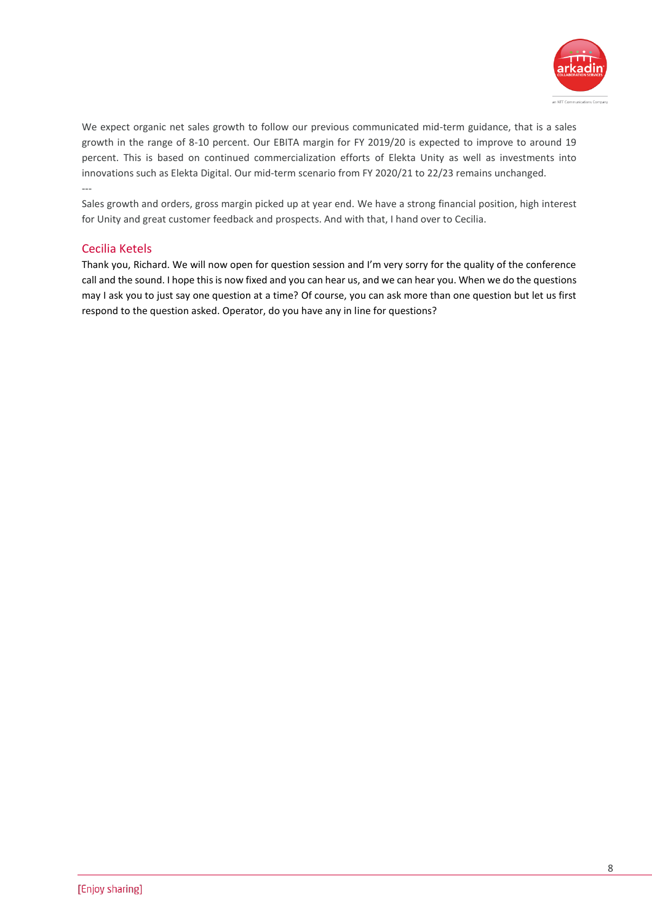

We expect organic net sales growth to follow our previous communicated mid-term guidance, that is a sales growth in the range of 8-10 percent. Our EBITA margin for FY 2019/20 is expected to improve to around 19 percent. This is based on continued commercialization efforts of Elekta Unity as well as investments into innovations such as Elekta Digital. Our mid-term scenario from FY 2020/21 to 22/23 remains unchanged. ---

Sales growth and orders, gross margin picked up at year end. We have a strong financial position, high interest for Unity and great customer feedback and prospects. And with that, I hand over to Cecilia.

# Cecilia Ketels

Thank you, Richard. We will now open for question session and I'm very sorry for the quality of the conference call and the sound. I hope this is now fixed and you can hear us, and we can hear you. When we do the questions may I ask you to just say one question at a time? Of course, you can ask more than one question but let us first respond to the question asked. Operator, do you have any in line for questions?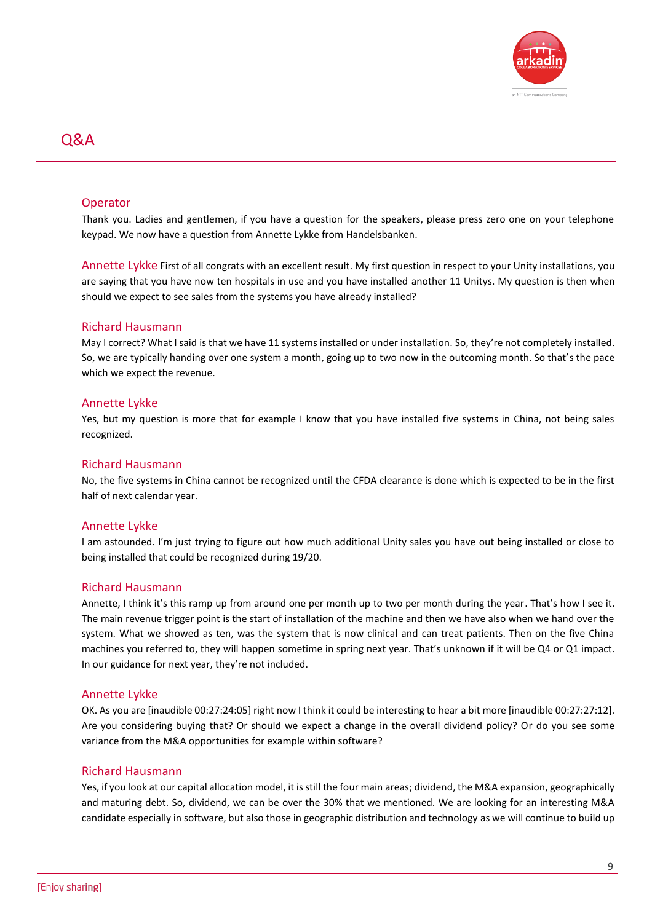

# Q&A

# Operator

Thank you. Ladies and gentlemen, if you have a question for the speakers, please press zero one on your telephone keypad. We now have a question from Annette Lykke from Handelsbanken.

Annette Lykke First of all congrats with an excellent result. My first question in respect to your Unity installations, you are saying that you have now ten hospitals in use and you have installed another 11 Unitys. My question is then when should we expect to see sales from the systems you have already installed?

#### Richard Hausmann

May I correct? What I said is that we have 11 systems installed or under installation. So, they're not completely installed. So, we are typically handing over one system a month, going up to two now in the outcoming month. So that's the pace which we expect the revenue.

#### Annette Lykke

Yes, but my question is more that for example I know that you have installed five systems in China, not being sales recognized.

#### Richard Hausmann

No, the five systems in China cannot be recognized until the CFDA clearance is done which is expected to be in the first half of next calendar year.

#### Annette Lykke

I am astounded. I'm just trying to figure out how much additional Unity sales you have out being installed or close to being installed that could be recognized during 19/20.

#### Richard Hausmann

Annette, I think it's this ramp up from around one per month up to two per month during the year. That's how I see it. The main revenue trigger point is the start of installation of the machine and then we have also when we hand over the system. What we showed as ten, was the system that is now clinical and can treat patients. Then on the five China machines you referred to, they will happen sometime in spring next year. That's unknown if it will be Q4 or Q1 impact. In our guidance for next year, they're not included.

#### Annette Lykke

OK. As you are [inaudible 00:27:24:05] right now I think it could be interesting to hear a bit more [inaudible 00:27:27:12]. Are you considering buying that? Or should we expect a change in the overall dividend policy? Or do you see some variance from the M&A opportunities for example within software?

#### Richard Hausmann

Yes, if you look at our capital allocation model, it is still the four main areas; dividend, the M&A expansion, geographically and maturing debt. So, dividend, we can be over the 30% that we mentioned. We are looking for an interesting M&A candidate especially in software, but also those in geographic distribution and technology as we will continue to build up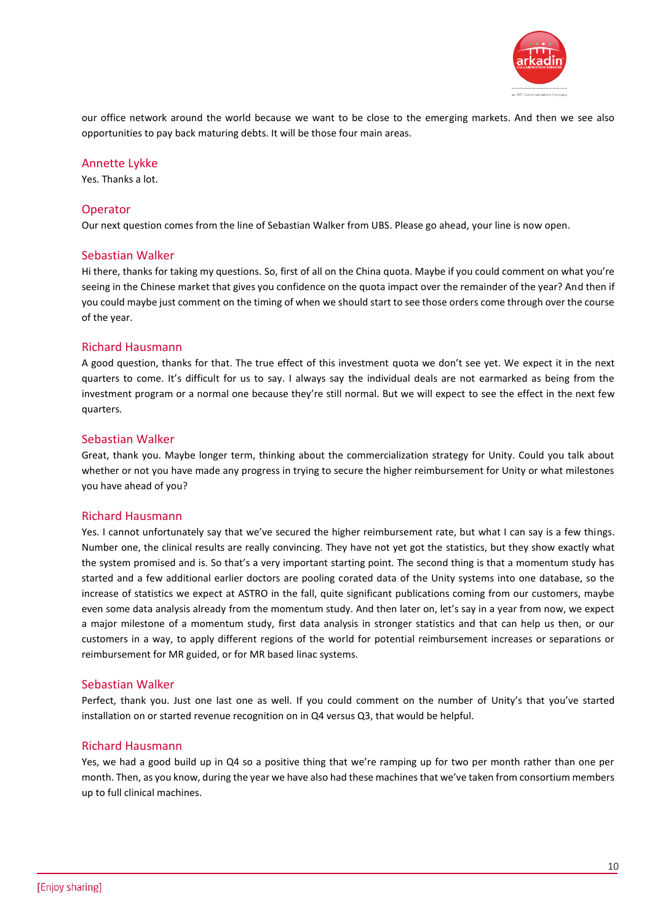

our office network around the world because we want to be close to the emerging markets. And then we see also opportunities to pay back maturing debts. It will be those four main areas.

#### Annette Lykke

Yes. Thanks a lot.

#### Operator

Our next question comes from the line of Sebastian Walker from UBS. Please go ahead, your line is now open.

#### Sebastian Walker

Hi there, thanks for taking my questions. So, first of all on the China quota. Maybe if you could comment on what you're seeing in the Chinese market that gives you confidence on the quota impact over the remainder of the year? And then if you could maybe just comment on the timing of when we should start to see those orders come through over the course of the year.

#### Richard Hausmann

A good question, thanks for that. The true effect of this investment quota we don't see yet. We expect it in the next quarters to come. It's difficult for us to say. I always say the individual deals are not earmarked as being from the investment program or a normal one because they're still normal. But we will expect to see the effect in the next few quarters.

#### Sebastian Walker

Great, thank you. Maybe longer term, thinking about the commercialization strategy for Unity. Could you talk about whether or not you have made any progress in trying to secure the higher reimbursement for Unity or what milestones you have ahead of you?

#### Richard Hausmann

Yes. I cannot unfortunately say that we've secured the higher reimbursement rate, but what I can say is a few things. Number one, the clinical results are really convincing. They have not yet got the statistics, but they show exactly what the system promised and is. So that's a very important starting point. The second thing is that a momentum study has started and a few additional earlier doctors are pooling corated data of the Unity systems into one database, so the increase of statistics we expect at ASTRO in the fall, quite significant publications coming from our customers, maybe even some data analysis already from the momentum study. And then later on, let's say in a year from now, we expect a major milestone of a momentum study, first data analysis in stronger statistics and that can help us then, or our customers in a way, to apply different regions of the world for potential reimbursement increases or separations or reimbursement for MR guided, or for MR based linac systems.

#### Sebastian Walker

Perfect, thank you. Just one last one as well. If you could comment on the number of Unity's that you've started installation on or started revenue recognition on in Q4 versus Q3, that would be helpful.

#### Richard Hausmann

Yes, we had a good build up in Q4 so a positive thing that we're ramping up for two per month rather than one per month. Then, as you know, during the year we have also had these machines that we've taken from consortium members up to full clinical machines.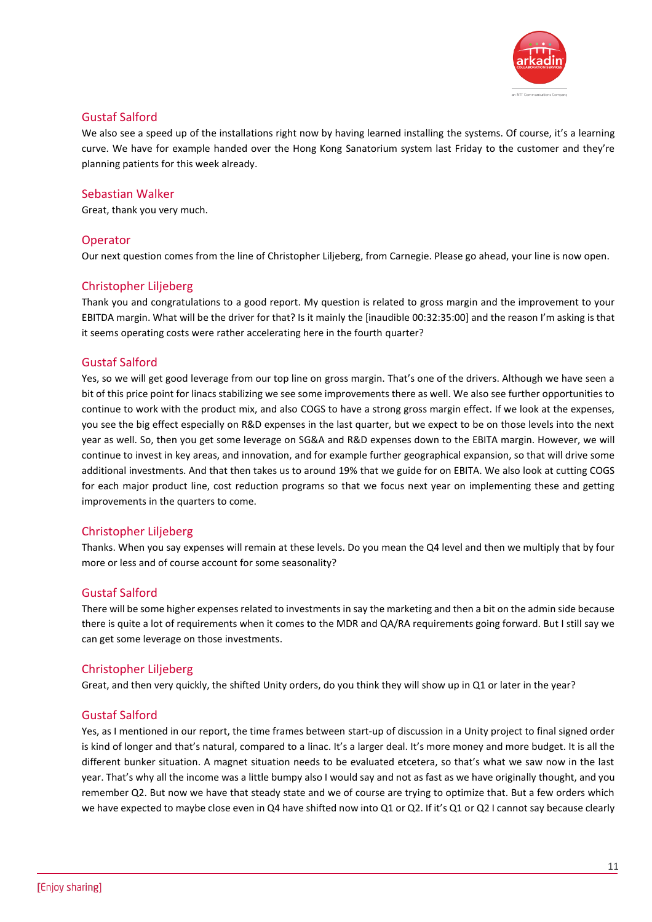

We also see a speed up of the installations right now by having learned installing the systems. Of course, it's a learning curve. We have for example handed over the Hong Kong Sanatorium system last Friday to the customer and they're planning patients for this week already.

# Sebastian Walker

Great, thank you very much.

# Operator

Our next question comes from the line of Christopher Liljeberg, from Carnegie. Please go ahead, your line is now open.

# Christopher Liljeberg

Thank you and congratulations to a good report. My question is related to gross margin and the improvement to your EBITDA margin. What will be the driver for that? Is it mainly the [inaudible 00:32:35:00] and the reason I'm asking is that it seems operating costs were rather accelerating here in the fourth quarter?

#### Gustaf Salford

Yes, so we will get good leverage from our top line on gross margin. That's one of the drivers. Although we have seen a bit of this price point for linacs stabilizing we see some improvements there as well. We also see further opportunities to continue to work with the product mix, and also COGS to have a strong gross margin effect. If we look at the expenses, you see the big effect especially on R&D expenses in the last quarter, but we expect to be on those levels into the next year as well. So, then you get some leverage on SG&A and R&D expenses down to the EBITA margin. However, we will continue to invest in key areas, and innovation, and for example further geographical expansion, so that will drive some additional investments. And that then takes us to around 19% that we guide for on EBITA. We also look at cutting COGS for each major product line, cost reduction programs so that we focus next year on implementing these and getting improvements in the quarters to come.

# Christopher Liljeberg

Thanks. When you say expenses will remain at these levels. Do you mean the Q4 level and then we multiply that by four more or less and of course account for some seasonality?

#### Gustaf Salford

There will be some higher expenses related to investments in say the marketing and then a bit on the admin side because there is quite a lot of requirements when it comes to the MDR and QA/RA requirements going forward. But I still say we can get some leverage on those investments.

#### Christopher Liljeberg

Great, and then very quickly, the shifted Unity orders, do you think they will show up in Q1 or later in the year?

#### Gustaf Salford

Yes, as I mentioned in our report, the time frames between start-up of discussion in a Unity project to final signed order is kind of longer and that's natural, compared to a linac. It's a larger deal. It's more money and more budget. It is all the different bunker situation. A magnet situation needs to be evaluated etcetera, so that's what we saw now in the last year. That's why all the income was a little bumpy also I would say and not as fast as we have originally thought, and you remember Q2. But now we have that steady state and we of course are trying to optimize that. But a few orders which we have expected to maybe close even in Q4 have shifted now into Q1 or Q2. If it's Q1 or Q2 I cannot say because clearly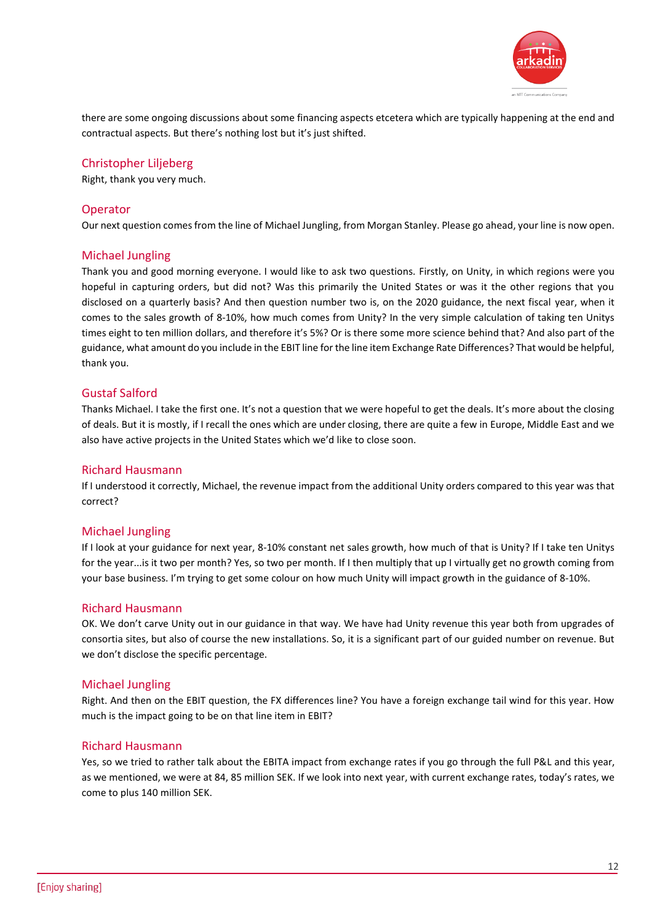

there are some ongoing discussions about some financing aspects etcetera which are typically happening at the end and contractual aspects. But there's nothing lost but it's just shifted.

# Christopher Liljeberg

Right, thank you very much.

# Operator

Our next question comes from the line of Michael Jungling, from Morgan Stanley. Please go ahead, your line is now open.

# Michael Jungling

Thank you and good morning everyone. I would like to ask two questions. Firstly, on Unity, in which regions were you hopeful in capturing orders, but did not? Was this primarily the United States or was it the other regions that you disclosed on a quarterly basis? And then question number two is, on the 2020 guidance, the next fiscal year, when it comes to the sales growth of 8-10%, how much comes from Unity? In the very simple calculation of taking ten Unitys times eight to ten million dollars, and therefore it's 5%? Or is there some more science behind that? And also part of the guidance, what amount do you include in the EBIT line for the line item Exchange Rate Differences? That would be helpful, thank you.

# Gustaf Salford

Thanks Michael. I take the first one. It's not a question that we were hopeful to get the deals. It's more about the closing of deals. But it is mostly, if I recall the ones which are under closing, there are quite a few in Europe, Middle East and we also have active projects in the United States which we'd like to close soon.

# Richard Hausmann

If I understood it correctly, Michael, the revenue impact from the additional Unity orders compared to this year was that correct?

# Michael Jungling

If I look at your guidance for next year, 8-10% constant net sales growth, how much of that is Unity? If I take ten Unitys for the year...is it two per month? Yes, so two per month. If I then multiply that up I virtually get no growth coming from your base business. I'm trying to get some colour on how much Unity will impact growth in the guidance of 8-10%.

# Richard Hausmann

OK. We don't carve Unity out in our guidance in that way. We have had Unity revenue this year both from upgrades of consortia sites, but also of course the new installations. So, it is a significant part of our guided number on revenue. But we don't disclose the specific percentage.

# Michael Jungling

Right. And then on the EBIT question, the FX differences line? You have a foreign exchange tail wind for this year. How much is the impact going to be on that line item in EBIT?

# Richard Hausmann

Yes, so we tried to rather talk about the EBITA impact from exchange rates if you go through the full P&L and this year, as we mentioned, we were at 84, 85 million SEK. If we look into next year, with current exchange rates, today's rates, we come to plus 140 million SEK.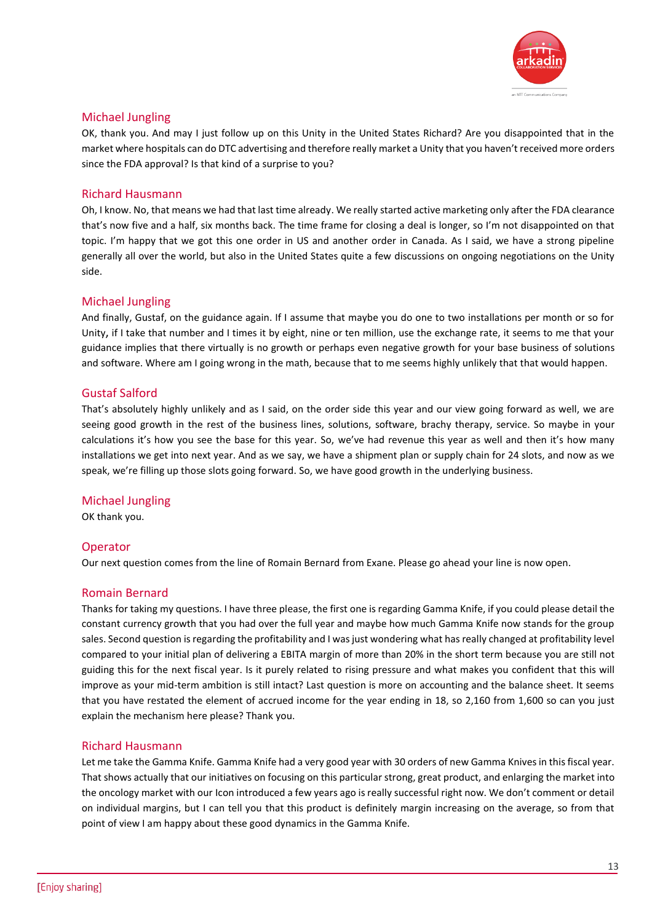

# Michael Jungling

OK, thank you. And may I just follow up on this Unity in the United States Richard? Are you disappointed that in the market where hospitals can do DTC advertising and therefore really market a Unity that you haven't received more orders since the FDA approval? Is that kind of a surprise to you?

# Richard Hausmann

Oh, I know. No, that means we had that last time already. We really started active marketing only after the FDA clearance that's now five and a half, six months back. The time frame for closing a deal is longer, so I'm not disappointed on that topic. I'm happy that we got this one order in US and another order in Canada. As I said, we have a strong pipeline generally all over the world, but also in the United States quite a few discussions on ongoing negotiations on the Unity side.

# Michael Jungling

And finally, Gustaf, on the guidance again. If I assume that maybe you do one to two installations per month or so for Unity, if I take that number and I times it by eight, nine or ten million, use the exchange rate, it seems to me that your guidance implies that there virtually is no growth or perhaps even negative growth for your base business of solutions and software. Where am I going wrong in the math, because that to me seems highly unlikely that that would happen.

# Gustaf Salford

That's absolutely highly unlikely and as I said, on the order side this year and our view going forward as well, we are seeing good growth in the rest of the business lines, solutions, software, brachy therapy, service. So maybe in your calculations it's how you see the base for this year. So, we've had revenue this year as well and then it's how many installations we get into next year. And as we say, we have a shipment plan or supply chain for 24 slots, and now as we speak, we're filling up those slots going forward. So, we have good growth in the underlying business.

# Michael Jungling

OK thank you.

# **Operator**

Our next question comes from the line of Romain Bernard from Exane. Please go ahead your line is now open.

# Romain Bernard

Thanks for taking my questions. I have three please, the first one is regarding Gamma Knife, if you could please detail the constant currency growth that you had over the full year and maybe how much Gamma Knife now stands for the group sales. Second question is regarding the profitability and I was just wondering what has really changed at profitability level compared to your initial plan of delivering a EBITA margin of more than 20% in the short term because you are still not guiding this for the next fiscal year. Is it purely related to rising pressure and what makes you confident that this will improve as your mid-term ambition is still intact? Last question is more on accounting and the balance sheet. It seems that you have restated the element of accrued income for the year ending in 18, so 2,160 from 1,600 so can you just explain the mechanism here please? Thank you.

# Richard Hausmann

Let me take the Gamma Knife. Gamma Knife had a very good year with 30 orders of new Gamma Knives in this fiscal year. That shows actually that our initiatives on focusing on this particular strong, great product, and enlarging the market into the oncology market with our Icon introduced a few years ago is really successful right now. We don't comment or detail on individual margins, but I can tell you that this product is definitely margin increasing on the average, so from that point of view I am happy about these good dynamics in the Gamma Knife.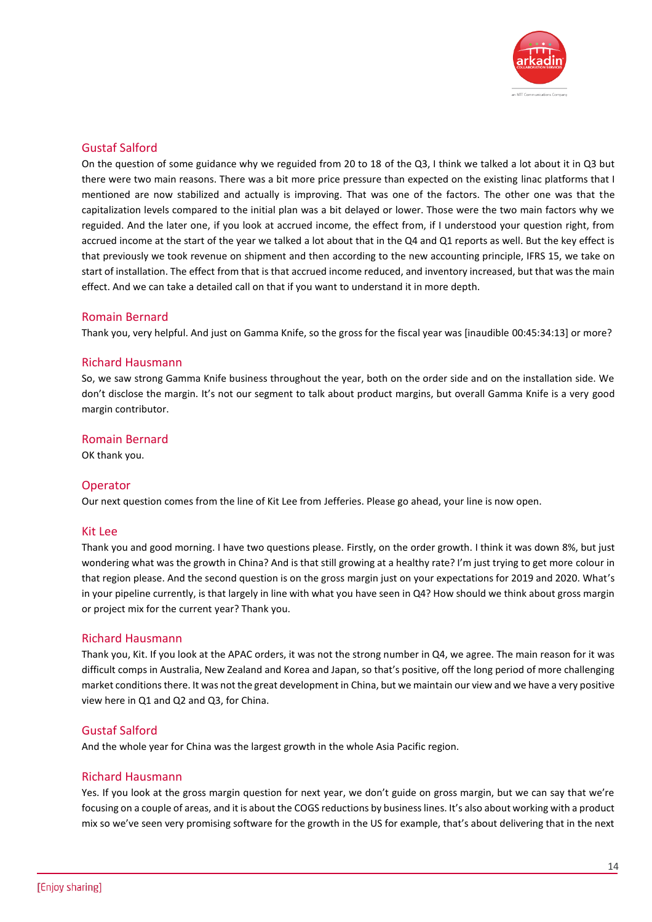

On the question of some guidance why we reguided from 20 to 18 of the Q3, I think we talked a lot about it in Q3 but there were two main reasons. There was a bit more price pressure than expected on the existing linac platforms that I mentioned are now stabilized and actually is improving. That was one of the factors. The other one was that the capitalization levels compared to the initial plan was a bit delayed or lower. Those were the two main factors why we reguided. And the later one, if you look at accrued income, the effect from, if I understood your question right, from accrued income at the start of the year we talked a lot about that in the Q4 and Q1 reports as well. But the key effect is that previously we took revenue on shipment and then according to the new accounting principle, IFRS 15, we take on start of installation. The effect from that is that accrued income reduced, and inventory increased, but that was the main effect. And we can take a detailed call on that if you want to understand it in more depth.

# Romain Bernard

Thank you, very helpful. And just on Gamma Knife, so the gross for the fiscal year was [inaudible 00:45:34:13] or more?

#### Richard Hausmann

So, we saw strong Gamma Knife business throughout the year, both on the order side and on the installation side. We don't disclose the margin. It's not our segment to talk about product margins, but overall Gamma Knife is a very good margin contributor.

#### Romain Bernard

OK thank you.

#### Operator

Our next question comes from the line of Kit Lee from Jefferies. Please go ahead, your line is now open.

#### Kit Lee

Thank you and good morning. I have two questions please. Firstly, on the order growth. I think it was down 8%, but just wondering what was the growth in China? And is that still growing at a healthy rate? I'm just trying to get more colour in that region please. And the second question is on the gross margin just on your expectations for 2019 and 2020. What's in your pipeline currently, is that largely in line with what you have seen in Q4? How should we think about gross margin or project mix for the current year? Thank you.

#### Richard Hausmann

Thank you, Kit. If you look at the APAC orders, it was not the strong number in Q4, we agree. The main reason for it was difficult comps in Australia, New Zealand and Korea and Japan, so that's positive, off the long period of more challenging market conditions there. It was not the great development in China, but we maintain our view and we have a very positive view here in Q1 and Q2 and Q3, for China.

#### Gustaf Salford

And the whole year for China was the largest growth in the whole Asia Pacific region.

#### Richard Hausmann

Yes. If you look at the gross margin question for next year, we don't guide on gross margin, but we can say that we're focusing on a couple of areas, and it is about the COGS reductions by business lines. It's also about working with a product mix so we've seen very promising software for the growth in the US for example, that's about delivering that in the next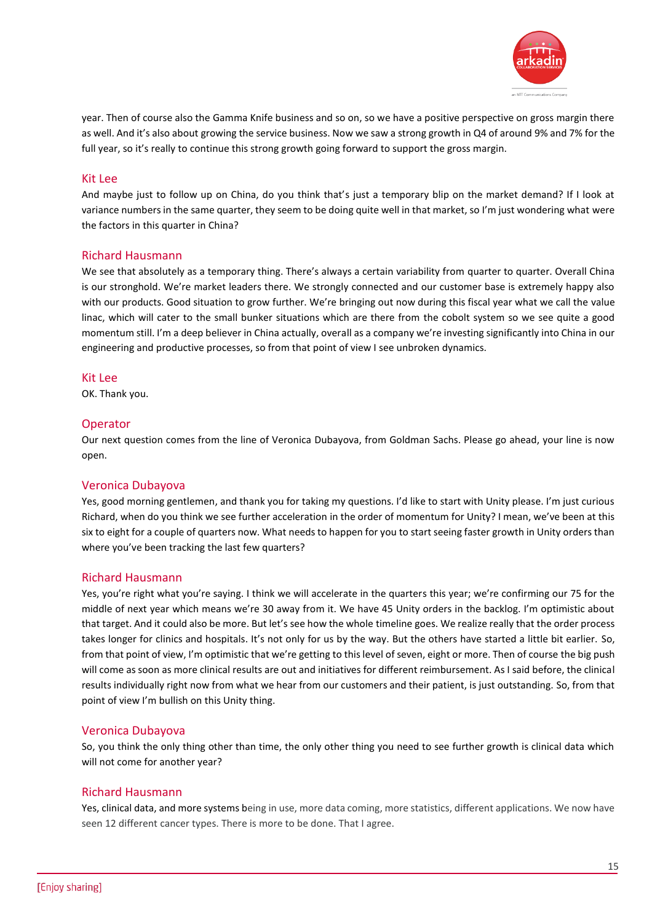

year. Then of course also the Gamma Knife business and so on, so we have a positive perspective on gross margin there as well. And it's also about growing the service business. Now we saw a strong growth in Q4 of around 9% and 7% for the full year, so it's really to continue this strong growth going forward to support the gross margin.

#### Kit Lee

And maybe just to follow up on China, do you think that's just a temporary blip on the market demand? If I look at variance numbers in the same quarter, they seem to be doing quite well in that market, so I'm just wondering what were the factors in this quarter in China?

#### Richard Hausmann

We see that absolutely as a temporary thing. There's always a certain variability from quarter to quarter. Overall China is our stronghold. We're market leaders there. We strongly connected and our customer base is extremely happy also with our products. Good situation to grow further. We're bringing out now during this fiscal year what we call the value linac, which will cater to the small bunker situations which are there from the cobolt system so we see quite a good momentum still. I'm a deep believer in China actually, overall as a company we're investing significantly into China in our engineering and productive processes, so from that point of view I see unbroken dynamics.

#### Kit Lee

OK. Thank you.

#### Operator

Our next question comes from the line of Veronica Dubayova, from Goldman Sachs. Please go ahead, your line is now open.

#### Veronica Dubayova

Yes, good morning gentlemen, and thank you for taking my questions. I'd like to start with Unity please. I'm just curious Richard, when do you think we see further acceleration in the order of momentum for Unity? I mean, we've been at this six to eight for a couple of quarters now. What needs to happen for you to start seeing faster growth in Unity orders than where you've been tracking the last few quarters?

#### Richard Hausmann

Yes, you're right what you're saying. I think we will accelerate in the quarters this year; we're confirming our 75 for the middle of next year which means we're 30 away from it. We have 45 Unity orders in the backlog. I'm optimistic about that target. And it could also be more. But let's see how the whole timeline goes. We realize really that the order process takes longer for clinics and hospitals. It's not only for us by the way. But the others have started a little bit earlier. So, from that point of view, I'm optimistic that we're getting to this level of seven, eight or more. Then of course the big push will come as soon as more clinical results are out and initiatives for different reimbursement. As I said before, the clinical results individually right now from what we hear from our customers and their patient, is just outstanding. So, from that point of view I'm bullish on this Unity thing.

#### Veronica Dubayova

So, you think the only thing other than time, the only other thing you need to see further growth is clinical data which will not come for another year?

#### Richard Hausmann

Yes, clinical data, and more systems being in use, more data coming, more statistics, different applications. We now have seen 12 different cancer types. There is more to be done. That I agree.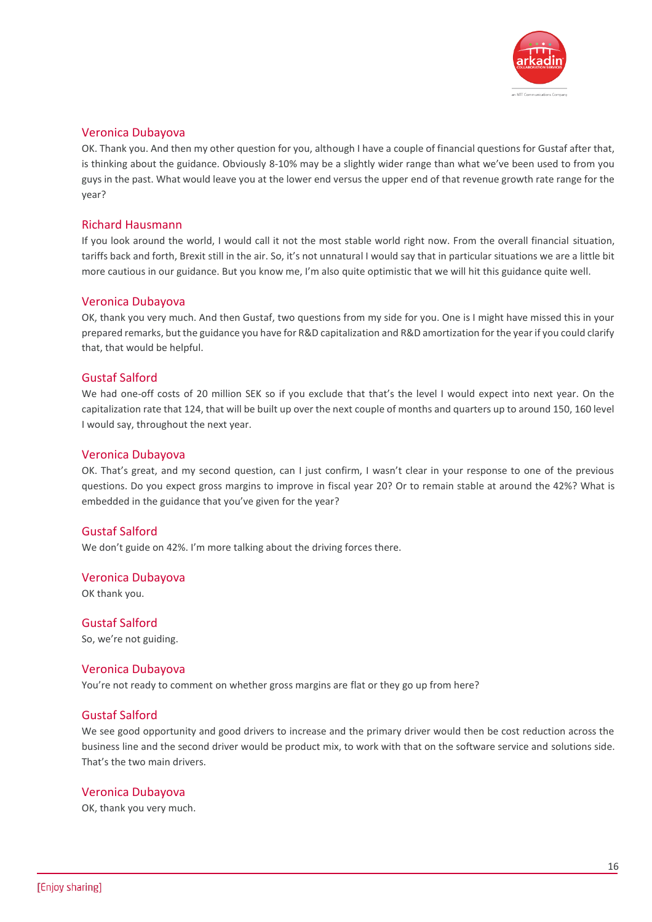

#### Veronica Dubayova

OK. Thank you. And then my other question for you, although I have a couple of financial questions for Gustaf after that, is thinking about the guidance. Obviously 8-10% may be a slightly wider range than what we've been used to from you guys in the past. What would leave you at the lower end versus the upper end of that revenue growth rate range for the year?

#### Richard Hausmann

If you look around the world, I would call it not the most stable world right now. From the overall financial situation, tariffs back and forth, Brexit still in the air. So, it's not unnatural I would say that in particular situations we are a little bit more cautious in our guidance. But you know me, I'm also quite optimistic that we will hit this guidance quite well.

#### Veronica Dubayova

OK, thank you very much. And then Gustaf, two questions from my side for you. One is I might have missed this in your prepared remarks, but the guidance you have for R&D capitalization and R&D amortization for the year if you could clarify that, that would be helpful.

#### Gustaf Salford

We had one-off costs of 20 million SEK so if you exclude that that's the level I would expect into next year. On the capitalization rate that 124, that will be built up over the next couple of months and quarters up to around 150, 160 level I would say, throughout the next year.

#### Veronica Dubayova

OK. That's great, and my second question, can I just confirm, I wasn't clear in your response to one of the previous questions. Do you expect gross margins to improve in fiscal year 20? Or to remain stable at around the 42%? What is embedded in the guidance that you've given for the year?

# Gustaf Salford

We don't guide on 42%. I'm more talking about the driving forces there.

#### Veronica Dubayova

OK thank you.

Gustaf Salford So, we're not guiding.

#### Veronica Dubayova

You're not ready to comment on whether gross margins are flat or they go up from here?

#### Gustaf Salford

We see good opportunity and good drivers to increase and the primary driver would then be cost reduction across the business line and the second driver would be product mix, to work with that on the software service and solutions side. That's the two main drivers.

#### Veronica Dubayova

OK, thank you very much.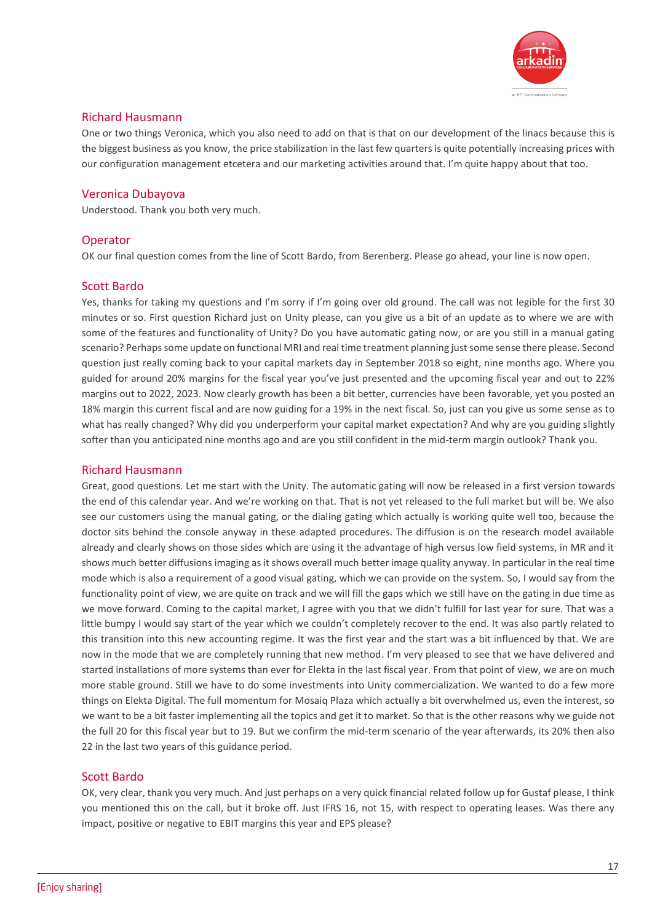

# Richard Hausmann

One or two things Veronica, which you also need to add on that is that on our development of the linacs because this is the biggest business as you know, the price stabilization in the last few quarters is quite potentially increasing prices with our configuration management etcetera and our marketing activities around that. I'm quite happy about that too.

# Veronica Dubayova

Understood. Thank you both very much.

# **Operator**

OK our final question comes from the line of Scott Bardo, from Berenberg. Please go ahead, your line is now open.

# Scott Bardo

Yes, thanks for taking my questions and I'm sorry if I'm going over old ground. The call was not legible for the first 30 minutes or so. First question Richard just on Unity please, can you give us a bit of an update as to where we are with some of the features and functionality of Unity? Do you have automatic gating now, or are you still in a manual gating scenario? Perhaps some update on functional MRI and real time treatment planning just some sense there please. Second question just really coming back to your capital markets day in September 2018 so eight, nine months ago. Where you guided for around 20% margins for the fiscal year you've just presented and the upcoming fiscal year and out to 22% margins out to 2022, 2023. Now clearly growth has been a bit better, currencies have been favorable, yet you posted an 18% margin this current fiscal and are now guiding for a 19% in the next fiscal. So, just can you give us some sense as to what has really changed? Why did you underperform your capital market expectation? And why are you guiding slightly softer than you anticipated nine months ago and are you still confident in the mid-term margin outlook? Thank you.

# Richard Hausmann

Great, good questions. Let me start with the Unity. The automatic gating will now be released in a first version towards the end of this calendar year. And we're working on that. That is not yet released to the full market but will be. We also see our customers using the manual gating, or the dialing gating which actually is working quite well too, because the doctor sits behind the console anyway in these adapted procedures. The diffusion is on the research model available already and clearly shows on those sides which are using it the advantage of high versus low field systems, in MR and it shows much better diffusions imaging as it shows overall much better image quality anyway. In particular in the real time mode which is also a requirement of a good visual gating, which we can provide on the system. So, I would say from the functionality point of view, we are quite on track and we will fill the gaps which we still have on the gating in due time as we move forward. Coming to the capital market, I agree with you that we didn't fulfill for last year for sure. That was a little bumpy I would say start of the year which we couldn't completely recover to the end. It was also partly related to this transition into this new accounting regime. It was the first year and the start was a bit influenced by that. We are now in the mode that we are completely running that new method. I'm very pleased to see that we have delivered and started installations of more systems than ever for Elekta in the last fiscal year. From that point of view, we are on much more stable ground. Still we have to do some investments into Unity commercialization. We wanted to do a few more things on Elekta Digital. The full momentum for Mosaiq Plaza which actually a bit overwhelmed us, even the interest, so we want to be a bit faster implementing all the topics and get it to market. So that is the other reasons why we guide not the full 20 for this fiscal year but to 19. But we confirm the mid-term scenario of the year afterwards, its 20% then also 22 in the last two years of this guidance period.

# Scott Bardo

OK, very clear, thank you very much. And just perhaps on a very quick financial related follow up for Gustaf please, I think you mentioned this on the call, but it broke off. Just IFRS 16, not 15, with respect to operating leases. Was there any impact, positive or negative to EBIT margins this year and EPS please?